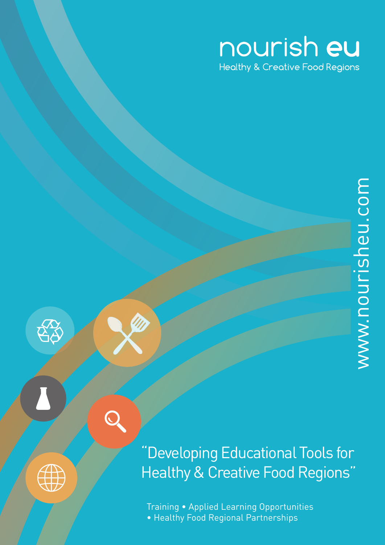## nourish eu **Healthy & Creative Food Regions**



ES

"Developing Educational Tools for Healthy & Creative Food Regions"

Training • Applied Learning Opportunities • Healthy Food Regional Partnerships

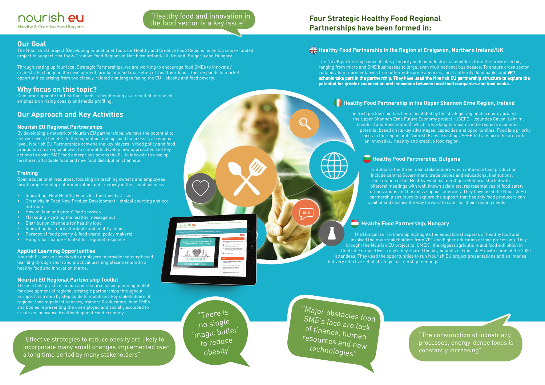"The consumption of industrially processed, energy-dense foods is constantly increasing"

## **Why focus on this topic?**

Consumer appetite for healthier foods is heightening as a result of increased emphasis on rising obesity and media profiling.

## **Our Approach and Key Activities**

#### **Nourish EU Regional Partnerships**

By developing a network of Nourish EU partnerships, we have the potential to deliver several benefits to the population and agrifood businesses at regional level. Nourish EU Partnerships convene the key players in food policy and food production on a regional level to commit to develop new approaches and key actions to assist SME food enterprises across the EU to innovate to develop healthier, affordable food and new food distribution channels.

#### **Training**

Open educational resources, focusing on teaching owners and employees how to implement greater innovation and creativity in their food business.

- Innovating New Healthy Foods for the Obesity Crisis
- Creativity in Food New Product Development ethical sourcing and eco nutrition
- How to 'lean and green' food services
- Marketing getting the healthy message out
- Distribution channels for healthy food
- Innovating for more affordable and healthy foods
- Paradox of food poverty & food waste (policy makers)
- Hungry for change toolkit for regional response

#### **Applied Learning Opportunities**

Nourish EU works closely with employers to provide industry based learning through short and practical learning placements with a healthy food and innovation theme.

#### **Nourish EU Regional Partnership Toolkit**

This is a best practice, action and resource based planning toolkit for development of regional strategic partnerships throughout Europe. It is a step by step guide to mobilising key stakeholders of regional food supply influencers, trainers & educators, food SMEs and bodies representing the unemployed and socially excluded to create an innovative Healthy Regional Food Economy.

## **Healthy Food Partnership in the Region of Craigavon, Northern Ireland/UK**

The NI/UK partnership concentrates primarily on food industry stakeholders from the private sector, ranging from micro and SME businesses to large, even multinational businesses. To ensure cross sector collaboration representatives from other enterprise agencies, local authority, food banks and VET schools take part in the partnership. They have used the Nourish EU partnership structure to explore the potential for greater cooperation and innovation between local food companies and food banks.

## **Healthy Food Partnership in the Upper Shannon Erne Region, Ireland**

"There is no single 'magic bullet' to reduce obesity

The Irish partnership has been facilitated by the strategic regional economy projectthe Upper Shannon Erne Future Economy project -USEFE - (counties Cavan, Leitrim, Longford and Roscommon) which is working to maximize the region's economic potential based on its key advantages, capacities and opportunities. Food is a priority focus in the region and Nourish EU is assisting USEFE to transform the area into an innovative, healthy and creative food region.

## **Healthy Food Partnership, Bulgaria**

In Bulgaria the three main stakeholders which influence food production include central Government, trade bodies and educational institutions. The creation of the Healthy Food partnership in Bulgaria started with bilateral meetings with well known scientists, representatives of food safety organizations and business support agencies. They have used the Nourish EU partnership structure to explore the support that healthly food producers can avail of and discuss the way forward to cater for their training needs.

## **Healthy Food Partnership, Hungary**

The Hungarian Partnership highlights the educational aspects of healthy food and involved the main stakeholders from VET and higher education of food processing. They brought the Nourish EU project to 'OMEK', the biggest agriculture and food exhibition in Central-Europe. Over 5 days they shared the key benefits of Nourish EU with some of the 2000 attendees. They used the opportunities to run Nourish EU project presentations and an intense but very effective set of strategic partnership meetings.

## **Our Goal**

The Nourish EU project (Developing Educational Tools for Healthy and Creative Food Regions) is an Erasmus+ funded project to support Healthy & Creative Food Regions in Northern Ireland/UK, Ireland, Bulgaria and Hungary.

Through setting up four local Strategic Partnerships, we are working to encourage food SMEs to innovate / orchestrate change in the development, production and marketing of 'healthier food'. This responds to market opportunities arising from two closely-related challenges facing the EU - obesity and food poverty.

## **Four Strategic Healthy Food Regional Partnerships have been formed in:**

 $\bigcirc$ 

mini

"Effective strategies to reduce obesity are likely to incorporate many small changes implemented over a long time period by many stakeholders"

"Major obstacles food SME's face are lack of finance, human resources and new technologies"